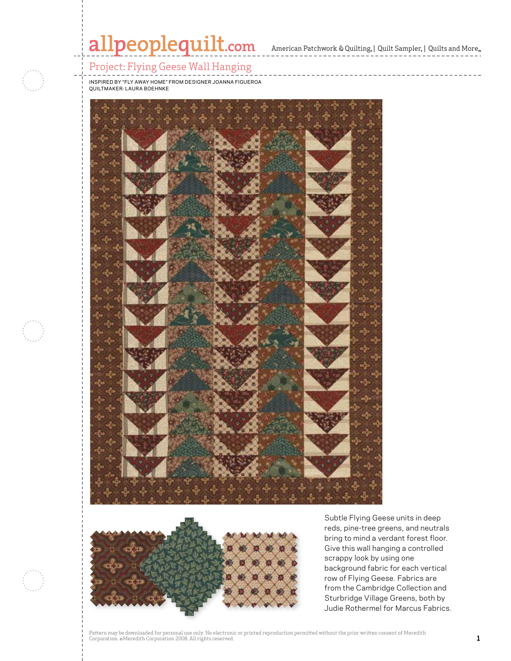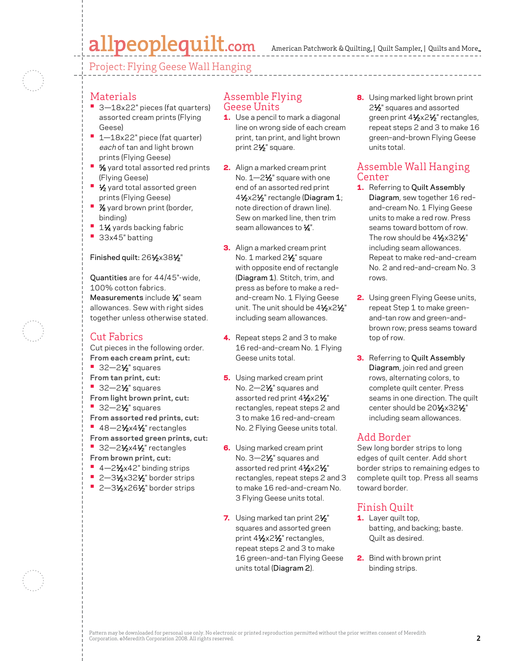# allpeoplequilt.com

Project: Flying Geese Wall Hanging

### Materials

- **•**  3—18x22" pieces (fat quarters) assorted cream prints (Flying Geese)
- **•**  1—18x22" piece (fat quarter) each of tan and light brown prints (Flying Geese)
- <sup>5</sup>⁄<sub>8</sub> yard total assorted red prints (Flying Geese)
- **1/<sub>2</sub>** yard total assorted green prints (Flying Geese)
- **•**  $\frac{7}{8}$  yard brown print (border, binding)
- **1½** yards backing fabric
- **•**  33x45" batting

#### Finished quilt: 261⁄2×381⁄2"

Quantities are for 44/45"-wide, 100% cotton fabrics. Measurements include 1/4" seam allowances. Sew with right sides together unless otherwise stated.

## Cut Fabrics

Cut pieces in the following order. **From each cream print, cut:**

- **•** 32-2<sup>1</sup>/<sub>2</sub> squares
- **From tan print, cut:**
- **•** 32-2<sup>1</sup>/<sub>2</sub> squares
- **From light brown print, cut:**
- **•** 32-2<sup>1</sup>/<sub>2</sub>" squares **From assorted red prints, cut:**
- **•** 48-21/<sub>2</sub>x41/<sub>2</sub>" rectangles
- **From assorted green prints, cut:**
- **•** 32-21/<sub>2</sub>x41/<sub>2</sub> rectangles **From brown print, cut:**
- 4-21⁄2x42" binding strips
- **2-31/2x321/2**" border strips
- **2–3½×26½** border strips

#### Assemble Flying Geese Units

- **1.** Use a pencil to mark a diagonal line on wrong side of each cream print, tan print, and light brown print 21⁄2" square.
- 2. Align a marked cream print No. 1-2<sup>1</sup>/<sub>2</sub>" square with one end of an assorted red print 41⁄2x21⁄2" rectangle (Diagram 1; note direction of drawn line). Sew on marked line, then trim seam allowances to  $\frac{1}{4}$ ".
- **3.** Align a marked cream print No. 1 marked 2<sup>1/2</sup> square with opposite end of rectangle (Diagram 1). Stitch, trim, and press as before to make a red– and–cream No. 1 Flying Geese unit. The unit should be  $4\frac{1}{2}x2\frac{1}{2}$ " including seam allowances.
- 4. Repeat steps 2 and 3 to make 16 red–and–cream No. 1 Flying Geese units total.
- 5. Using marked cream print No. 2-2<sup>1</sup>/<sub>2</sub>" squares and assorted red print 41/2x21/2" rectangles, repeat steps 2 and 3 to make 16 red–and–cream No. 2 Flying Geese units total.
- **6.** Using marked cream print No. 3–2<sup>1</sup>/<sub>2</sub>" squares and assorted red print 41/2x21/2" rectangles, repeat steps 2 and 3 to make 16 red–and–cream No. 3 Flying Geese units total.
- 7. Using marked tan print 21/<sub>2</sub>" squares and assorted green print  $4\frac{1}{2} \times 2\frac{1}{2}$ " rectangles, repeat steps 2 and 3 to make 16 green–and–tan Flying Geese units total (Diagram 2).

8. Using marked light brown print 2<sup>1</sup>/<sub>2</sub>" squares and assorted green print 41⁄2x21⁄2" rectangles, repeat steps 2 and 3 to make 16 green–and–brown Flying Geese units total.

### Assemble Wall Hanging Center

- 1. Referring to Quilt Assembly Diagram, sew together 16 red– and–cream No. 1 Flying Geese units to make a red row. Press seams toward bottom of row. The row should be 41⁄2x321⁄2" including seam allowances. Repeat to make red–and–cream No. 2 and red–and–cream No. 3 rows.
- 2. Using green Flying Geese units, repeat Step 1 to make green– and–tan row and green–and– brown row; press seams toward top of row.
- **3.** Referring to Quilt Assembly Diagram, join red and green rows, alternating colors, to complete quilt center. Press seams in one direction. The quilt center should be 20<sup>1</sup>/<sub>2</sub>x32<sup>1</sup>/<sub>2</sub>" including seam allowances.

## Add Border

Sew long border strips to long edges of quilt center. Add short border strips to remaining edges to complete quilt top. Press all seams toward border.

## Finish Quilt

- 1. Layer quilt top, batting, and backing; baste. Quilt as desired.
- 2. Bind with brown print binding strips.